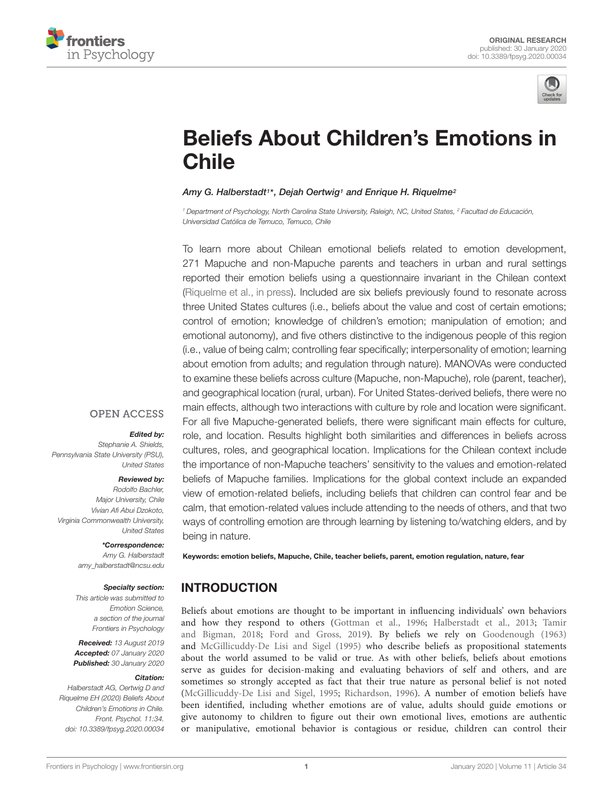



# [Beliefs About Children's Emotions in](https://www.frontiersin.org/articles/10.3389/fpsyg.2020.00034/full) Chile

#### [Amy G. Halberstadt](http://loop.frontiersin.org/people/704850/overview)1\*, [Dejah Oertwig](http://loop.frontiersin.org/people/886751/overview)1 and [Enrique H. Riquelme](http://loop.frontiersin.org/people/790742/overview)<sup>2</sup>

<sup>1</sup> Department of Psychology, North Carolina State University, Raleigh, NC, United States, <sup>2</sup> Facultad de Educación, Universidad Católica de Temuco, Temuco, Chile

To learn more about Chilean emotional beliefs related to emotion development, 271 Mapuche and non-Mapuche parents and teachers in urban and rural settings reported their emotion beliefs using a questionnaire invariant in the Chilean context [\(Riquelme et al.,](#page-8-0) [in press\)](#page-8-0). Included are six beliefs previously found to resonate across three United States cultures (i.e., beliefs about the value and cost of certain emotions; control of emotion; knowledge of children's emotion; manipulation of emotion; and emotional autonomy), and five others distinctive to the indigenous people of this region (i.e., value of being calm; controlling fear specifically; interpersonality of emotion; learning about emotion from adults; and regulation through nature). MANOVAs were conducted to examine these beliefs across culture (Mapuche, non-Mapuche), role (parent, teacher), and geographical location (rural, urban). For United States-derived beliefs, there were no main effects, although two interactions with culture by role and location were significant. For all five Mapuche-generated beliefs, there were significant main effects for culture, role, and location. Results highlight both similarities and differences in beliefs across cultures, roles, and geographical location. Implications for the Chilean context include the importance of non-Mapuche teachers' sensitivity to the values and emotion-related beliefs of Mapuche families. Implications for the global context include an expanded view of emotion-related beliefs, including beliefs that children can control fear and be calm, that emotion-related values include attending to the needs of others, and that two ways of controlling emotion are through learning by listening to/watching elders, and by being in nature.

#### **OPEN ACCESS**

#### Edited by:

Stephanie A. Shields, Pennsylvania State University (PSU), United States

#### Reviewed by:

Rodolfo Bachler, Major University, Chile Vivian Afi Abui Dzokoto, Virginia Commonwealth University, United States

#### \*Correspondence:

Amy G. Halberstadt amy\_halberstadt@ncsu.edu

#### Specialty section:

This article was submitted to Emotion Science, a section of the journal Frontiers in Psychology

Received: 13 August 2019 Accepted: 07 January 2020 Published: 30 January 2020

#### Citation:

Halberstadt AG, Oertwig D and Riquelme EH (2020) Beliefs About Children's Emotions in Chile. Front. Psychol. 11:34. doi: [10.3389/fpsyg.2020.00034](https://doi.org/10.3389/fpsyg.2020.00034) Keywords: emotion beliefs, Mapuche, Chile, teacher beliefs, parent, emotion regulation, nature, fear

# INTRODUCTION

Beliefs about emotions are thought to be important in influencing individuals' own behaviors and how they respond to others [\(Gottman et al.,](#page-7-0) [1996;](#page-7-0) [Halberstadt et al.,](#page-7-1) [2013;](#page-7-1) [Tamir](#page-8-1) [and Bigman,](#page-8-1) [2018;](#page-8-1) [Ford and Gross,](#page-7-2) [2019\)](#page-7-2). By beliefs we rely on [Goodenough](#page-7-3) [\(1963\)](#page-7-3) and [McGillicuddy-De Lisi and Sigel](#page-8-2) [\(1995\)](#page-8-2) who describe beliefs as propositional statements about the world assumed to be valid or true. As with other beliefs, beliefs about emotions serve as guides for decision-making and evaluating behaviors of self and others, and are sometimes so strongly accepted as fact that their true nature as personal belief is not noted [\(McGillicuddy-De Lisi and Sigel,](#page-8-2) [1995;](#page-8-2) [Richardson,](#page-8-3) [1996\)](#page-8-3). A number of emotion beliefs have been identified, including whether emotions are of value, adults should guide emotions or give autonomy to children to figure out their own emotional lives, emotions are authentic or manipulative, emotional behavior is contagious or residue, children can control their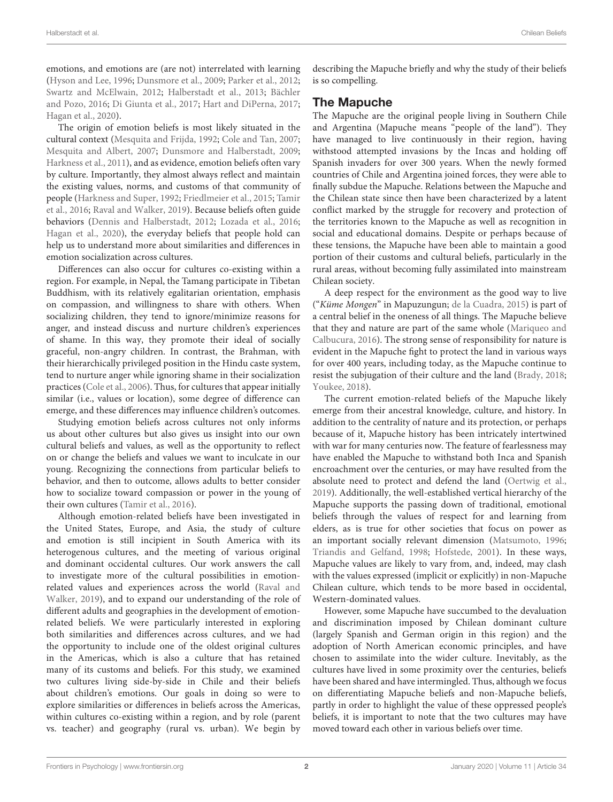emotions, and emotions are (are not) interrelated with learning [\(Hyson and Lee,](#page-8-4) [1996;](#page-8-4) [Dunsmore et al.,](#page-7-4) [2009;](#page-7-4) [Parker et al.,](#page-8-5) [2012;](#page-8-5) [Swartz and McElwain,](#page-8-6) [2012;](#page-8-6) [Halberstadt et al.,](#page-7-1) [2013;](#page-7-1) [Bächler](#page-7-5) [and Pozo,](#page-7-5) [2016;](#page-7-5) [Di Giunta et al.,](#page-7-6) [2017;](#page-7-6) [Hart and DiPerna,](#page-7-7) [2017;](#page-7-7) [Hagan et al.,](#page-7-8) [2020\)](#page-7-8).

The origin of emotion beliefs is most likely situated in the cultural context [\(Mesquita and Frijda,](#page-8-7) [1992;](#page-8-7) [Cole and Tan,](#page-7-9) [2007;](#page-7-9) [Mesquita and Albert,](#page-8-8) [2007;](#page-8-8) [Dunsmore and Halberstadt,](#page-7-10) [2009;](#page-7-10) [Harkness et al.,](#page-7-11) [2011\)](#page-7-11), and as evidence, emotion beliefs often vary by culture. Importantly, they almost always reflect and maintain the existing values, norms, and customs of that community of people [\(Harkness and Super,](#page-7-12) [1992;](#page-7-12) [Friedlmeier et al.,](#page-7-13) [2015;](#page-7-13) [Tamir](#page-8-9) [et al.,](#page-8-9) [2016;](#page-8-9) [Raval and Walker,](#page-8-10) [2019\)](#page-8-10). Because beliefs often guide behaviors [\(Dennis and Halberstadt,](#page-7-14) [2012;](#page-7-14) [Lozada et al.,](#page-8-11) [2016;](#page-8-11) [Hagan et al.,](#page-7-8) [2020\)](#page-7-8), the everyday beliefs that people hold can help us to understand more about similarities and differences in emotion socialization across cultures.

Differences can also occur for cultures co-existing within a region. For example, in Nepal, the Tamang participate in Tibetan Buddhism, with its relatively egalitarian orientation, emphasis on compassion, and willingness to share with others. When socializing children, they tend to ignore/minimize reasons for anger, and instead discuss and nurture children's experiences of shame. In this way, they promote their ideal of socially graceful, non-angry children. In contrast, the Brahman, with their hierarchically privileged position in the Hindu caste system, tend to nurture anger while ignoring shame in their socialization practices [\(Cole et al.,](#page-7-15) [2006\)](#page-7-15). Thus, for cultures that appear initially similar (i.e., values or location), some degree of difference can emerge, and these differences may influence children's outcomes.

Studying emotion beliefs across cultures not only informs us about other cultures but also gives us insight into our own cultural beliefs and values, as well as the opportunity to reflect on or change the beliefs and values we want to inculcate in our young. Recognizing the connections from particular beliefs to behavior, and then to outcome, allows adults to better consider how to socialize toward compassion or power in the young of their own cultures [\(Tamir et al.,](#page-8-9) [2016\)](#page-8-9).

Although emotion-related beliefs have been investigated in the United States, Europe, and Asia, the study of culture and emotion is still incipient in South America with its heterogenous cultures, and the meeting of various original and dominant occidental cultures. Our work answers the call to investigate more of the cultural possibilities in emotionrelated values and experiences across the world [\(Raval and](#page-8-10) [Walker,](#page-8-10) [2019\)](#page-8-10), and to expand our understanding of the role of different adults and geographies in the development of emotionrelated beliefs. We were particularly interested in exploring both similarities and differences across cultures, and we had the opportunity to include one of the oldest original cultures in the Americas, which is also a culture that has retained many of its customs and beliefs. For this study, we examined two cultures living side-by-side in Chile and their beliefs about children's emotions. Our goals in doing so were to explore similarities or differences in beliefs across the Americas, within cultures co-existing within a region, and by role (parent vs. teacher) and geography (rural vs. urban). We begin by

describing the Mapuche briefly and why the study of their beliefs is so compelling.

## The Mapuche

The Mapuche are the original people living in Southern Chile and Argentina (Mapuche means "people of the land"). They have managed to live continuously in their region, having withstood attempted invasions by the Incas and holding off Spanish invaders for over 300 years. When the newly formed countries of Chile and Argentina joined forces, they were able to finally subdue the Mapuche. Relations between the Mapuche and the Chilean state since then have been characterized by a latent conflict marked by the struggle for recovery and protection of the territories known to the Mapuche as well as recognition in social and educational domains. Despite or perhaps because of these tensions, the Mapuche have been able to maintain a good portion of their customs and cultural beliefs, particularly in the rural areas, without becoming fully assimilated into mainstream Chilean society.

A deep respect for the environment as the good way to live ("Küme Mongen" in Mapuzungun; [de la Cuadra,](#page-7-16) [2015\)](#page-7-16) is part of a central belief in the oneness of all things. The Mapuche believe that they and nature are part of the same whole [\(Mariqueo and](#page-8-12) [Calbucura,](#page-8-12) [2016\)](#page-8-12). The strong sense of responsibility for nature is evident in the Mapuche fight to protect the land in various ways for over 400 years, including today, as the Mapuche continue to resist the subjugation of their culture and the land [\(Brady,](#page-7-17) [2018;](#page-7-17) [Youkee,](#page-8-13) [2018\)](#page-8-13).

The current emotion-related beliefs of the Mapuche likely emerge from their ancestral knowledge, culture, and history. In addition to the centrality of nature and its protection, or perhaps because of it, Mapuche history has been intricately intertwined with war for many centuries now. The feature of fearlessness may have enabled the Mapuche to withstand both Inca and Spanish encroachment over the centuries, or may have resulted from the absolute need to protect and defend the land [\(Oertwig et al.,](#page-8-14) [2019\)](#page-8-14). Additionally, the well-established vertical hierarchy of the Mapuche supports the passing down of traditional, emotional beliefs through the values of respect for and learning from elders, as is true for other societies that focus on power as an important socially relevant dimension [\(Matsumoto,](#page-8-15) [1996;](#page-8-15) [Triandis and Gelfand,](#page-8-16) [1998;](#page-8-16) [Hofstede,](#page-8-17) [2001\)](#page-8-17). In these ways, Mapuche values are likely to vary from, and, indeed, may clash with the values expressed (implicit or explicitly) in non-Mapuche Chilean culture, which tends to be more based in occidental, Western-dominated values.

However, some Mapuche have succumbed to the devaluation and discrimination imposed by Chilean dominant culture (largely Spanish and German origin in this region) and the adoption of North American economic principles, and have chosen to assimilate into the wider culture. Inevitably, as the cultures have lived in some proximity over the centuries, beliefs have been shared and have intermingled. Thus, although we focus on differentiating Mapuche beliefs and non-Mapuche beliefs, partly in order to highlight the value of these oppressed people's beliefs, it is important to note that the two cultures may have moved toward each other in various beliefs over time.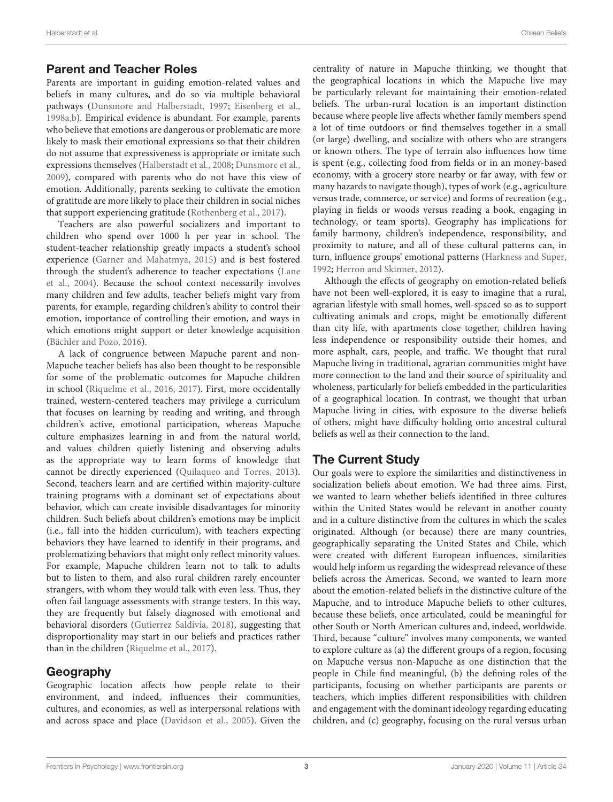## Parent and Teacher Roles

Parents are important in guiding emotion-related values and beliefs in many cultures, and do so via multiple behavioral pathways [\(Dunsmore and Halberstadt,](#page-7-18) [1997;](#page-7-18) [Eisenberg et al.,](#page-7-19) [1998a,](#page-7-19)[b\)](#page-7-20). Empirical evidence is abundant. For example, parents who believe that emotions are dangerous or problematic are more likely to mask their emotional expressions so that their children do not assume that expressiveness is appropriate or imitate such expressions themselves [\(Halberstadt et al.,](#page-7-21) [2008;](#page-7-21) [Dunsmore et al.,](#page-7-4) [2009\)](#page-7-4), compared with parents who do not have this view of emotion. Additionally, parents seeking to cultivate the emotion of gratitude are more likely to place their children in social niches that support experiencing gratitude [\(Rothenberg et al.,](#page-8-18) [2017\)](#page-8-18).

Teachers are also powerful socializers and important to children who spend over 1000 h per year in school. The student-teacher relationship greatly impacts a student's school experience [\(Garner and Mahatmya,](#page-7-22) [2015\)](#page-7-22) and is best fostered through the student's adherence to teacher expectations [\(Lane](#page-8-19) [et al.,](#page-8-19) [2004\)](#page-8-19). Because the school context necessarily involves many children and few adults, teacher beliefs might vary from parents, for example, regarding children's ability to control their emotion, importance of controlling their emotion, and ways in which emotions might support or deter knowledge acquisition [\(Bächler and Pozo,](#page-7-5) [2016\)](#page-7-5).

A lack of congruence between Mapuche parent and non-Mapuche teacher beliefs has also been thought to be responsible for some of the problematic outcomes for Mapuche children in school [\(Riquelme et al.,](#page-8-20) [2016,](#page-8-20) [2017\)](#page-8-21). First, more occidentally trained, western-centered teachers may privilege a curriculum that focuses on learning by reading and writing, and through children's active, emotional participation, whereas Mapuche culture emphasizes learning in and from the natural world, and values children quietly listening and observing adults as the appropriate way to learn forms of knowledge that cannot be directly experienced [\(Quilaqueo and Torres,](#page-8-22) [2013\)](#page-8-22). Second, teachers learn and are certified within majority-culture training programs with a dominant set of expectations about behavior, which can create invisible disadvantages for minority children. Such beliefs about children's emotions may be implicit (i.e., fall into the hidden curriculum), with teachers expecting behaviors they have learned to identify in their programs, and problematizing behaviors that might only reflect minority values. For example, Mapuche children learn not to talk to adults but to listen to them, and also rural children rarely encounter strangers, with whom they would talk with even less. Thus, they often fail language assessments with strange testers. In this way, they are frequently but falsely diagnosed with emotional and behavioral disorders [\(Gutierrez Saldivia,](#page-7-23) [2018\)](#page-7-23), suggesting that disproportionality may start in our beliefs and practices rather than in the children [\(Riquelme et al.,](#page-8-21) [2017\)](#page-8-21).

# Geography

Geographic location affects how people relate to their environment, and indeed, influences their communities, cultures, and economies, as well as interpersonal relations with and across space and place [\(Davidson et al.,](#page-7-24) [2005\)](#page-7-24). Given the centrality of nature in Mapuche thinking, we thought that the geographical locations in which the Mapuche live may be particularly relevant for maintaining their emotion-related beliefs. The urban-rural location is an important distinction because where people live affects whether family members spend a lot of time outdoors or find themselves together in a small (or large) dwelling, and socialize with others who are strangers or known others. The type of terrain also influences how time is spent (e.g., collecting food from fields or in an money-based economy, with a grocery store nearby or far away, with few or many hazards to navigate though), types of work (e.g., agriculture versus trade, commerce, or service) and forms of recreation (e.g., playing in fields or woods versus reading a book, engaging in technology, or team sports). Geography has implications for family harmony, children's independence, responsibility, and proximity to nature, and all of these cultural patterns can, in turn, influence groups' emotional patterns [\(Harkness and Super,](#page-7-12) [1992;](#page-7-12) [Herron and Skinner,](#page-7-25) [2012\)](#page-7-25).

Although the effects of geography on emotion-related beliefs have not been well-explored, it is easy to imagine that a rural, agrarian lifestyle with small homes, well-spaced so as to support cultivating animals and crops, might be emotionally different than city life, with apartments close together, children having less independence or responsibility outside their homes, and more asphalt, cars, people, and traffic. We thought that rural Mapuche living in traditional, agrarian communities might have more connection to the land and their source of spirituality and wholeness, particularly for beliefs embedded in the particularities of a geographical location. In contrast, we thought that urban Mapuche living in cities, with exposure to the diverse beliefs of others, might have difficulty holding onto ancestral cultural beliefs as well as their connection to the land.

# The Current Study

Our goals were to explore the similarities and distinctiveness in socialization beliefs about emotion. We had three aims. First, we wanted to learn whether beliefs identified in three cultures within the United States would be relevant in another county and in a culture distinctive from the cultures in which the scales originated. Although (or because) there are many countries, geographically separating the United States and Chile, which were created with different European influences, similarities would help inform us regarding the widespread relevance of these beliefs across the Americas. Second, we wanted to learn more about the emotion-related beliefs in the distinctive culture of the Mapuche, and to introduce Mapuche beliefs to other cultures, because these beliefs, once articulated, could be meaningful for other South or North American cultures and, indeed, worldwide. Third, because "culture" involves many components, we wanted to explore culture as (a) the different groups of a region, focusing on Mapuche versus non-Mapuche as one distinction that the people in Chile find meaningful, (b) the defining roles of the participants, focusing on whether participants are parents or teachers, which implies different responsibilities with children and engagement with the dominant ideology regarding educating children, and (c) geography, focusing on the rural versus urban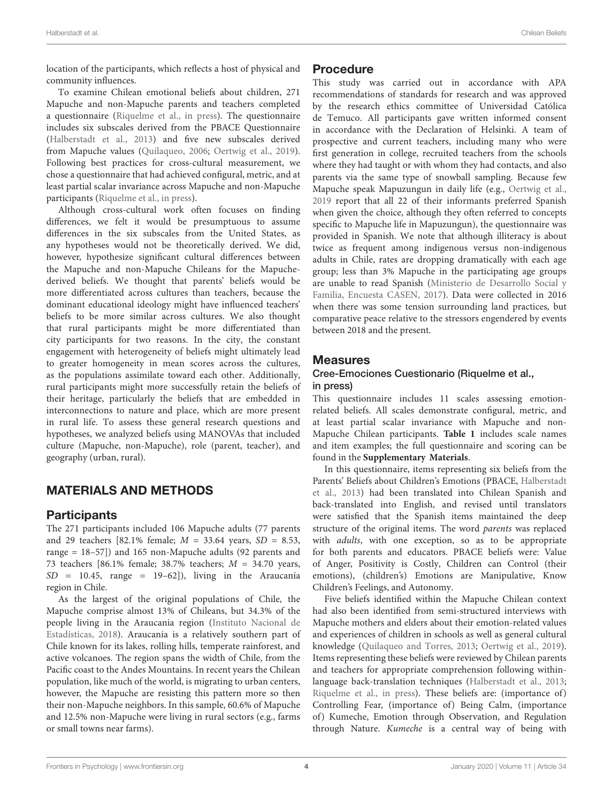location of the participants, which reflects a host of physical and community influences.

To examine Chilean emotional beliefs about children, 271 Mapuche and non-Mapuche parents and teachers completed a questionnaire [\(Riquelme et al.,](#page-8-0) [in press\)](#page-8-0). The questionnaire includes six subscales derived from the PBACE Questionnaire [\(Halberstadt et al.,](#page-7-1) [2013\)](#page-7-1) and five new subscales derived from Mapuche values [\(Quilaqueo,](#page-8-23) [2006;](#page-8-23) [Oertwig et al.,](#page-8-14) [2019\)](#page-8-14). Following best practices for cross-cultural measurement, we chose a questionnaire that had achieved configural, metric, and at least partial scalar invariance across Mapuche and non-Mapuche participants [\(Riquelme et al.,](#page-8-0) [in press\)](#page-8-0).

Although cross-cultural work often focuses on finding differences, we felt it would be presumptuous to assume differences in the six subscales from the United States, as any hypotheses would not be theoretically derived. We did, however, hypothesize significant cultural differences between the Mapuche and non-Mapuche Chileans for the Mapuchederived beliefs. We thought that parents' beliefs would be more differentiated across cultures than teachers, because the dominant educational ideology might have influenced teachers' beliefs to be more similar across cultures. We also thought that rural participants might be more differentiated than city participants for two reasons. In the city, the constant engagement with heterogeneity of beliefs might ultimately lead to greater homogeneity in mean scores across the cultures, as the populations assimilate toward each other. Additionally, rural participants might more successfully retain the beliefs of their heritage, particularly the beliefs that are embedded in interconnections to nature and place, which are more present in rural life. To assess these general research questions and hypotheses, we analyzed beliefs using MANOVAs that included culture (Mapuche, non-Mapuche), role (parent, teacher), and geography (urban, rural).

# MATERIALS AND METHODS

## **Participants**

The 271 participants included 106 Mapuche adults (77 parents and 29 teachers [82.1% female;  $M = 33.64$  years,  $SD = 8.53$ , range = 18–57]) and 165 non-Mapuche adults (92 parents and 73 teachers [86.1% female; 38.7% teachers; M = 34.70 years,  $SD = 10.45$ , range = 19-62]), living in the Araucanía region in Chile.

As the largest of the original populations of Chile, the Mapuche comprise almost 13% of Chileans, but 34.3% of the people living in the Araucania region [\(Instituto Nacional de](#page-8-24) [Estadísticas,](#page-8-24) [2018\)](#page-8-24). Araucanía is a relatively southern part of Chile known for its lakes, rolling hills, temperate rainforest, and active volcanoes. The region spans the width of Chile, from the Pacific coast to the Andes Mountains. In recent years the Chilean population, like much of the world, is migrating to urban centers, however, the Mapuche are resisting this pattern more so then their non-Mapuche neighbors. In this sample, 60.6% of Mapuche and 12.5% non-Mapuche were living in rural sectors (e.g., farms or small towns near farms).

#### Procedure

This study was carried out in accordance with APA recommendations of standards for research and was approved by the research ethics committee of Universidad Católica de Temuco. All participants gave written informed consent in accordance with the Declaration of Helsinki. A team of prospective and current teachers, including many who were first generation in college, recruited teachers from the schools where they had taught or with whom they had contacts, and also parents via the same type of snowball sampling. Because few Mapuche speak Mapuzungun in daily life (e.g., [Oertwig et al.,](#page-8-14) [2019](#page-8-14) report that all 22 of their informants preferred Spanish when given the choice, although they often referred to concepts specific to Mapuche life in Mapuzungun), the questionnaire was provided in Spanish. We note that although illiteracy is about twice as frequent among indigenous versus non-indigenous adults in Chile, rates are dropping dramatically with each age group; less than 3% Mapuche in the participating age groups are unable to read Spanish [\(Ministerio de Desarrollo Social y](#page-8-25) [Familia, Encuesta CASEN,](#page-8-25) [2017\)](#page-8-25). Data were collected in 2016 when there was some tension surrounding land practices, but comparative peace relative to the stressors engendered by events between 2018 and the present.

## Measures

#### Cree-Emociones Cuestionario [\(Riquelme et al.,](#page-8-0) [in press\)](#page-8-0)

This questionnaire includes 11 scales assessing emotionrelated beliefs. All scales demonstrate configural, metric, and at least partial scalar invariance with Mapuche and non-Mapuche Chilean participants. **[Table 1](#page-4-0)** includes scale names and item examples; the full questionnaire and scoring can be found in the **[Supplementary Materials](#page-7-26)**.

In this questionnaire, items representing six beliefs from the Parents' Beliefs about Children's Emotions (PBACE, [Halberstadt](#page-7-1) [et al.,](#page-7-1) [2013\)](#page-7-1) had been translated into Chilean Spanish and back-translated into English, and revised until translators were satisfied that the Spanish items maintained the deep structure of the original items. The word parents was replaced with adults, with one exception, so as to be appropriate for both parents and educators. PBACE beliefs were: Value of Anger, Positivity is Costly, Children can Control (their emotions), (children's) Emotions are Manipulative, Know Children's Feelings, and Autonomy.

Five beliefs identified within the Mapuche Chilean context had also been identified from semi-structured interviews with Mapuche mothers and elders about their emotion-related values and experiences of children in schools as well as general cultural knowledge [\(Quilaqueo and Torres,](#page-8-22) [2013;](#page-8-22) [Oertwig et al.,](#page-8-14) [2019\)](#page-8-14). Items representing these beliefs were reviewed by Chilean parents and teachers for appropriate comprehension following withinlanguage back-translation techniques [\(Halberstadt et al.,](#page-7-1) [2013;](#page-7-1) [Riquelme et al.,](#page-8-0) [in press\)](#page-8-0). These beliefs are: (importance of) Controlling Fear, (importance of) Being Calm, (importance of) Kumeche, Emotion through Observation, and Regulation through Nature. Kumeche is a central way of being with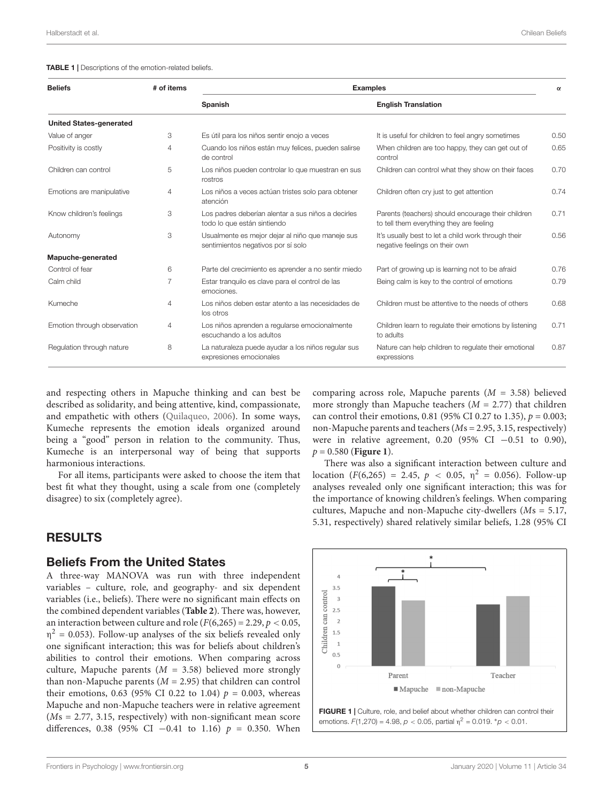<span id="page-4-0"></span>TABLE 1 | Descriptions of the emotion-related beliefs.

| <b>Beliefs</b>                 | # of items | <b>Examples</b>                                                                        |                                                                                                |      |
|--------------------------------|------------|----------------------------------------------------------------------------------------|------------------------------------------------------------------------------------------------|------|
|                                |            | Spanish                                                                                | <b>English Translation</b>                                                                     |      |
| <b>United States-generated</b> |            |                                                                                        |                                                                                                |      |
| Value of anger                 | 3          | Es útil para los niños sentir enojo a veces                                            | It is useful for children to feel angry sometimes                                              | 0.50 |
| Positivity is costly           | 4          | Cuando los niños están muy felices, pueden salirse<br>de control                       | When children are too happy, they can get out of<br>control                                    | 0.65 |
| Children can control           | 5          | Los niños pueden controlar lo que muestran en sus<br>rostros                           | Children can control what they show on their faces                                             | 0.70 |
| Emotions are manipulative      | 4          | Los niños a veces actúan tristes solo para obtener<br>atención                         | Children often cry just to get attention                                                       | 0.74 |
| Know children's feelings       | 3          | Los padres deberían alentar a sus niños a decirles<br>todo lo que están sintiendo      | Parents (teachers) should encourage their children<br>to tell them everything they are feeling |      |
| Autonomy                       | 3          | Usualmente es mejor dejar al niño que maneje sus<br>sentimientos negativos por sí solo | It's usually best to let a child work through their<br>negative feelings on their own          |      |
| Mapuche-generated              |            |                                                                                        |                                                                                                |      |
| Control of fear                | 6          | Parte del crecimiento es aprender a no sentir miedo                                    | Part of growing up is learning not to be afraid                                                | 0.76 |
| Calm child                     |            | Estar tranquilo es clave para el control de las<br>emociones.                          | Being calm is key to the control of emotions                                                   | 0.79 |
| Kumeche                        | 4          | Los niños deben estar atento a las necesidades de<br>los otros                         | Children must be attentive to the needs of others                                              | 0.68 |
| Emotion through observation    | 4          | Los niños aprenden a regularse emocionalmente                                          | Children learn to regulate their emotions by listening                                         | 0.71 |

and respecting others in Mapuche thinking and can best be described as solidarity, and being attentive, kind, compassionate, and empathetic with others [\(Quilaqueo,](#page-8-23) [2006\)](#page-8-23). In some ways, Kumeche represents the emotion ideals organized around being a "good" person in relation to the community. Thus, Kumeche is an interpersonal way of being that supports harmonious interactions.

escuchando a los adultos

expresiones emocionales

Regulation through nature 8 La naturaleza puede ayudar a los niños regular sus

For all items, participants were asked to choose the item that best fit what they thought, using a scale from one (completely disagree) to six (completely agree).

## **RESULTS**

## Beliefs From the United States

A three-way MANOVA was run with three independent variables – culture, role, and geography- and six dependent variables (i.e., beliefs). There were no significant main effects on the combined dependent variables (**[Table 2](#page-5-0)**). There was, however, an interaction between culture and role  $(F(6, 265) = 2.29, p < 0.05,$  $\eta^2$  = 0.053). Follow-up analyses of the six beliefs revealed only one significant interaction; this was for beliefs about children's abilities to control their emotions. When comparing across culture, Mapuche parents ( $M = 3.58$ ) believed more strongly than non-Mapuche parents ( $M = 2.95$ ) that children can control their emotions, 0.63 (95% CI 0.22 to 1.04)  $p = 0.003$ , whereas Mapuche and non-Mapuche teachers were in relative agreement  $(Ms = 2.77, 3.15, respectively)$  with non-significant mean score differences, 0.38 (95% CI −0.41 to 1.16)  $p = 0.350$ . When

comparing across role, Mapuche parents  $(M = 3.58)$  believed more strongly than Mapuche teachers  $(M = 2.77)$  that children can control their emotions, 0.81 (95% CI 0.27 to 1.35),  $p = 0.003$ ; non-Mapuche parents and teachers ( $Ms = 2.95, 3.15$ , respectively) were in relative agreement, 0.20 (95% CI −0.51 to 0.90), p = 0.580 (**[Figure 1](#page-4-1)**).

Nature can help children to regulate their emotional

to adults

expressions

There was also a significant interaction between culture and location ( $F(6,265) = 2.45$ ,  $p < 0.05$ ,  $\eta^2 = 0.056$ ). Follow-up analyses revealed only one significant interaction; this was for the importance of knowing children's feelings. When comparing cultures, Mapuche and non-Mapuche city-dwellers (Ms = 5.17, 5.31, respectively) shared relatively similar beliefs, 1.28 (95% CI

<span id="page-4-1"></span>

0.87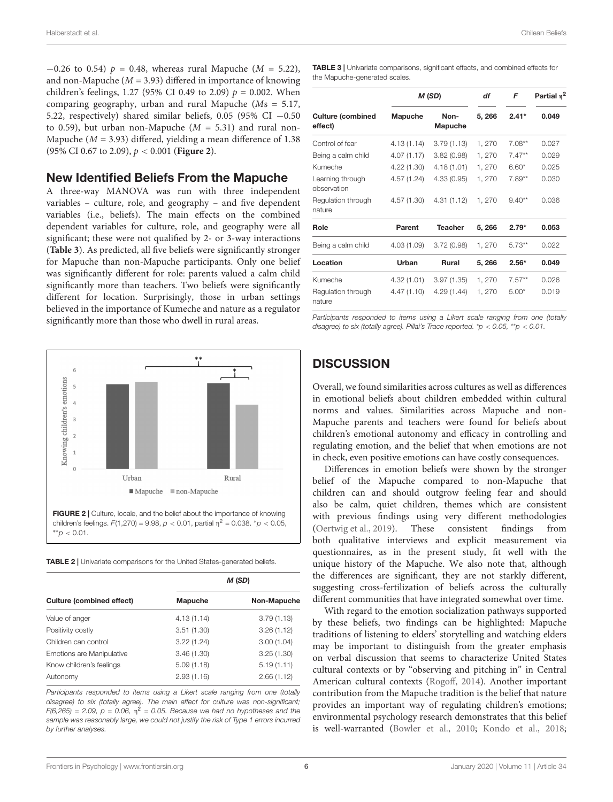$-0.26$  to 0.54)  $p = 0.48$ , whereas rural Mapuche ( $M = 5.22$ ), and non-Mapuche ( $M = 3.93$ ) differed in importance of knowing children's feelings, 1.27 (95% CI 0.49 to 2.09)  $p = 0.002$ . When comparing geography, urban and rural Mapuche ( $Ms = 5.17$ , 5.22, respectively) shared similar beliefs, 0.05 (95% CI −0.50 to 0.59), but urban non-Mapuche  $(M = 5.31)$  and rural non-Mapuche ( $M = 3.93$ ) differed, yielding a mean difference of 1.38 (95% CI 0.67 to 2.09), p < 0.001 (**[Figure 2](#page-5-1)**).

#### New Identified Beliefs From the Mapuche

A three-way MANOVA was run with three independent variables – culture, role, and geography – and five dependent variables (i.e., beliefs). The main effects on the combined dependent variables for culture, role, and geography were all significant; these were not qualified by 2- or 3-way interactions (**[Table 3](#page-5-2)**). As predicted, all five beliefs were significantly stronger for Mapuche than non-Mapuche participants. Only one belief was significantly different for role: parents valued a calm child significantly more than teachers. Two beliefs were significantly different for location. Surprisingly, those in urban settings believed in the importance of Kumeche and nature as a regulator significantly more than those who dwell in rural areas.



<span id="page-5-1"></span>∗∗p < 0.01.

<span id="page-5-0"></span>TABLE 2 | Univariate comparisons for the United States-generated beliefs.

|                                  | M (SD)         |             |  |  |
|----------------------------------|----------------|-------------|--|--|
| <b>Culture (combined effect)</b> | <b>Mapuche</b> | Non-Mapuche |  |  |
| Value of anger                   | 4.13(1.14)     | 3.79(1.13)  |  |  |
| Positivity costly                | 3.51(1.30)     | 3.26(1.12)  |  |  |
| Children can control             | 3.22(1.24)     | 3.00(1.04)  |  |  |
| Emotions are Manipulative        | 3.46(1.30)     | 3.25(1.30)  |  |  |
| Know children's feelings         | 5.09(1.18)     | 5.19(1.11)  |  |  |
| Autonomy                         | 2.93(1.16)     | 2.66(1.12)  |  |  |

Participants responded to items using a Likert scale ranging from one (totally disagree) to six (totally agree). The main effect for culture was non-significant;  $F(6,265) = 2.09$ ,  $p = 0.06$ ,  $\eta^2 = 0.05$ . Because we had no hypotheses and the sample was reasonably large, we could not justify the risk of Type 1 errors incurred by further analyses.

<span id="page-5-2"></span>TABLE 3 | Univariate comparisons, significant effects, and combined effects for the Mapuche-generated scales.

|                                     | M (SD)                    |                          | df               | F                   | Partial $n^2$  |
|-------------------------------------|---------------------------|--------------------------|------------------|---------------------|----------------|
| <b>Culture (combined</b><br>effect) | Mapuche                   | Non-<br>Mapuche          | 5, 266           | $2.41*$             | 0.049          |
| Control of fear                     | 4.13 (1.14)               | 3.79(1.13)               | 1, 270           | $7.08**$            | 0.027          |
| Being a calm child                  | 4.07(1.17)<br>4.22 (1.30) | 3.82(0.98)<br>4.18(1.01) | 1, 270<br>1, 270 | $7.47**$<br>$6.60*$ | 0.029<br>0.025 |
| Kumeche                             |                           |                          |                  |                     |                |
| Learning through<br>observation     | 4.57 (1.24)               | 4.33(0.95)               | 1, 270           | $7.89**$            | 0.030          |
| Regulation through<br>nature        | 4.57 (1.30)               | 4.31(1.12)               | 1, 270           | $9.40**$            | 0.036          |
| Role                                | Parent                    | <b>Teacher</b>           | 5, 266           | $2.79*$             | 0.053          |
| Being a calm child                  | 4.03(1.09)                | 3.72(0.98)               | 1, 270           | $5.73**$            | 0.022          |
| Location                            | Urban                     | Rural                    | 5, 266           | $2.56*$             | 0.049          |
| Kumeche                             | 4.32(1.01)                | 3.97(1.35)               | 1, 270           | $7.57**$            | 0.026          |
| Regulation through<br>nature        | 4.47 (1.10)               | 4.29(1.44)               | 1, 270           | $5.00*$             | 0.019          |

Participants responded to items using a Likert scale ranging from one (totally disagree) to six (totally agree). Pillai's Trace reported. \*p <  $0.05$ , \*\*p <  $0.01$ .

# **DISCUSSION**

Overall, we found similarities across cultures as well as differences in emotional beliefs about children embedded within cultural norms and values. Similarities across Mapuche and non-Mapuche parents and teachers were found for beliefs about children's emotional autonomy and efficacy in controlling and regulating emotion, and the belief that when emotions are not in check, even positive emotions can have costly consequences.

Differences in emotion beliefs were shown by the stronger belief of the Mapuche compared to non-Mapuche that children can and should outgrow feeling fear and should also be calm, quiet children, themes which are consistent with previous findings using very different methodologies [\(Oertwig et al.,](#page-8-14) [2019\)](#page-8-14). These consistent findings from both qualitative interviews and explicit measurement via questionnaires, as in the present study, fit well with the unique history of the Mapuche. We also note that, although the differences are significant, they are not starkly different, suggesting cross-fertilization of beliefs across the culturally different communities that have integrated somewhat over time.

With regard to the emotion socialization pathways supported by these beliefs, two findings can be highlighted: Mapuche traditions of listening to elders' storytelling and watching elders may be important to distinguish from the greater emphasis on verbal discussion that seems to characterize United States cultural contexts or by "observing and pitching in" in Central American cultural contexts [\(Rogoff,](#page-8-26) [2014\)](#page-8-26). Another important contribution from the Mapuche tradition is the belief that nature provides an important way of regulating children's emotions; environmental psychology research demonstrates that this belief is well-warranted [\(Bowler et al.,](#page-7-27) [2010;](#page-7-27) [Kondo et al.,](#page-8-27) [2018;](#page-8-27)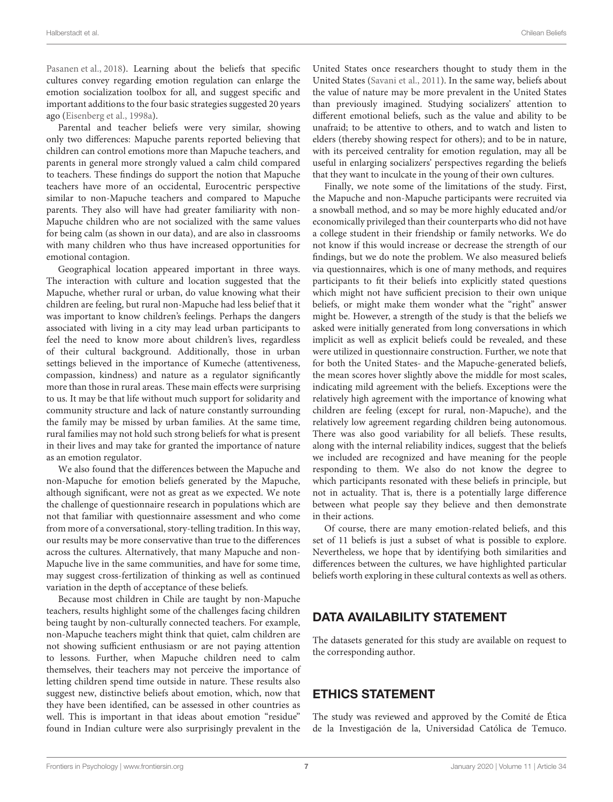[Pasanen et al.,](#page-8-28) [2018\)](#page-8-28). Learning about the beliefs that specific cultures convey regarding emotion regulation can enlarge the emotion socialization toolbox for all, and suggest specific and important additions to the four basic strategies suggested 20 years ago [\(Eisenberg et al.,](#page-7-19) [1998a\)](#page-7-19).

Parental and teacher beliefs were very similar, showing only two differences: Mapuche parents reported believing that children can control emotions more than Mapuche teachers, and parents in general more strongly valued a calm child compared to teachers. These findings do support the notion that Mapuche teachers have more of an occidental, Eurocentric perspective similar to non-Mapuche teachers and compared to Mapuche parents. They also will have had greater familiarity with non-Mapuche children who are not socialized with the same values for being calm (as shown in our data), and are also in classrooms with many children who thus have increased opportunities for emotional contagion.

Geographical location appeared important in three ways. The interaction with culture and location suggested that the Mapuche, whether rural or urban, do value knowing what their children are feeling, but rural non-Mapuche had less belief that it was important to know children's feelings. Perhaps the dangers associated with living in a city may lead urban participants to feel the need to know more about children's lives, regardless of their cultural background. Additionally, those in urban settings believed in the importance of Kumeche (attentiveness, compassion, kindness) and nature as a regulator significantly more than those in rural areas. These main effects were surprising to us. It may be that life without much support for solidarity and community structure and lack of nature constantly surrounding the family may be missed by urban families. At the same time, rural families may not hold such strong beliefs for what is present in their lives and may take for granted the importance of nature as an emotion regulator.

We also found that the differences between the Mapuche and non-Mapuche for emotion beliefs generated by the Mapuche, although significant, were not as great as we expected. We note the challenge of questionnaire research in populations which are not that familiar with questionnaire assessment and who come from more of a conversational, story-telling tradition. In this way, our results may be more conservative than true to the differences across the cultures. Alternatively, that many Mapuche and non-Mapuche live in the same communities, and have for some time, may suggest cross-fertilization of thinking as well as continued variation in the depth of acceptance of these beliefs.

Because most children in Chile are taught by non-Mapuche teachers, results highlight some of the challenges facing children being taught by non-culturally connected teachers. For example, non-Mapuche teachers might think that quiet, calm children are not showing sufficient enthusiasm or are not paying attention to lessons. Further, when Mapuche children need to calm themselves, their teachers may not perceive the importance of letting children spend time outside in nature. These results also suggest new, distinctive beliefs about emotion, which, now that they have been identified, can be assessed in other countries as well. This is important in that ideas about emotion "residue" found in Indian culture were also surprisingly prevalent in the

United States once researchers thought to study them in the United States [\(Savani et al.,](#page-8-29) [2011\)](#page-8-29). In the same way, beliefs about the value of nature may be more prevalent in the United States than previously imagined. Studying socializers' attention to different emotional beliefs, such as the value and ability to be unafraid; to be attentive to others, and to watch and listen to elders (thereby showing respect for others); and to be in nature, with its perceived centrality for emotion regulation, may all be useful in enlarging socializers' perspectives regarding the beliefs that they want to inculcate in the young of their own cultures.

Finally, we note some of the limitations of the study. First, the Mapuche and non-Mapuche participants were recruited via a snowball method, and so may be more highly educated and/or economically privileged than their counterparts who did not have a college student in their friendship or family networks. We do not know if this would increase or decrease the strength of our findings, but we do note the problem. We also measured beliefs via questionnaires, which is one of many methods, and requires participants to fit their beliefs into explicitly stated questions which might not have sufficient precision to their own unique beliefs, or might make them wonder what the "right" answer might be. However, a strength of the study is that the beliefs we asked were initially generated from long conversations in which implicit as well as explicit beliefs could be revealed, and these were utilized in questionnaire construction. Further, we note that for both the United States- and the Mapuche-generated beliefs, the mean scores hover slightly above the middle for most scales, indicating mild agreement with the beliefs. Exceptions were the relatively high agreement with the importance of knowing what children are feeling (except for rural, non-Mapuche), and the relatively low agreement regarding children being autonomous. There was also good variability for all beliefs. These results, along with the internal reliability indices, suggest that the beliefs we included are recognized and have meaning for the people responding to them. We also do not know the degree to which participants resonated with these beliefs in principle, but not in actuality. That is, there is a potentially large difference between what people say they believe and then demonstrate in their actions.

Of course, there are many emotion-related beliefs, and this set of 11 beliefs is just a subset of what is possible to explore. Nevertheless, we hope that by identifying both similarities and differences between the cultures, we have highlighted particular beliefs worth exploring in these cultural contexts as well as others.

## DATA AVAILABILITY STATEMENT

The datasets generated for this study are available on request to the corresponding author.

## ETHICS STATEMENT

The study was reviewed and approved by the Comité de Ética de la Investigación de la, Universidad Católica de Temuco.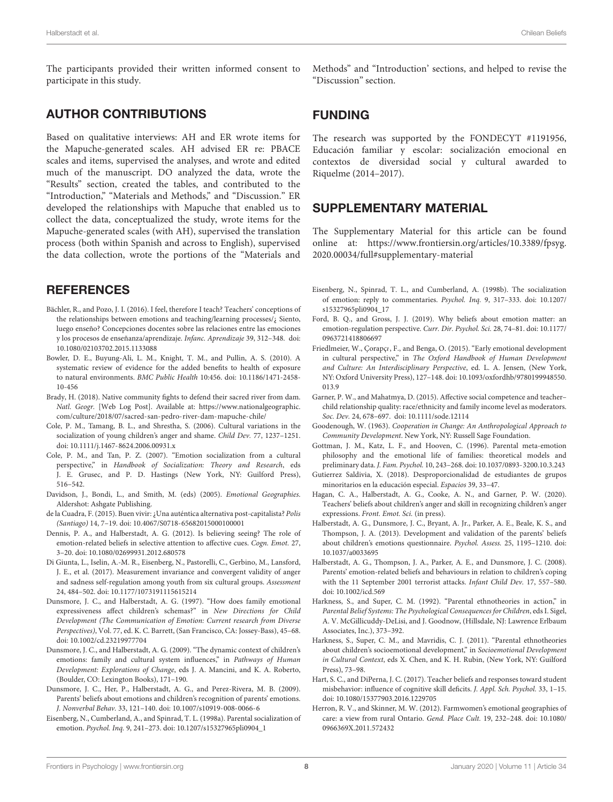The participants provided their written informed consent to participate in this study.

## AUTHOR CONTRIBUTIONS

Based on qualitative interviews: AH and ER wrote items for the Mapuche-generated scales. AH advised ER re: PBACE scales and items, supervised the analyses, and wrote and edited much of the manuscript. DO analyzed the data, wrote the "Results" section, created the tables, and contributed to the "Introduction," "Materials and Methods," and "Discussion." ER developed the relationships with Mapuche that enabled us to collect the data, conceptualized the study, wrote items for the Mapuche-generated scales (with AH), supervised the translation process (both within Spanish and across to English), supervised the data collection, wrote the portions of the "Materials and

## **REFERENCES**

- <span id="page-7-5"></span>Bächler, R., and Pozo, J. I. (2016). I feel, therefore I teach? Teachers' conceptions of the relationships between emotions and teaching/learning processes/¿ Siento, luego enseño? Concepciones docentes sobre las relaciones entre las emociones y los procesos de enseñanza/aprendizaje. Infanc. Aprendizaje 39, 312–348. [doi:](https://doi.org/10.1080/02103702.2015.1133088) [10.1080/02103702.2015.1133088](https://doi.org/10.1080/02103702.2015.1133088)
- <span id="page-7-27"></span>Bowler, D. E., Buyung-Ali, L. M., Knight, T. M., and Pullin, A. S. (2010). A systematic review of evidence for the added benefits to health of exposure to natural environments. BMC Public Health 10:456. [doi: 10.1186/1471-2458-](https://doi.org/10.1186/1471-2458-10-456) [10-456](https://doi.org/10.1186/1471-2458-10-456)
- <span id="page-7-17"></span>Brady, H. (2018). Native community fights to defend their sacred river from dam. Natl. Geogr. [Web Log Post]. Available at: [https://www.nationalgeographic.](https://www.nationalgeographic.com/culture/2018/07/sacred-san-pedro-river-dam-mapuche-chile/) [com/culture/2018/07/sacred-san-pedro-river-dam-mapuche-chile/](https://www.nationalgeographic.com/culture/2018/07/sacred-san-pedro-river-dam-mapuche-chile/)
- <span id="page-7-15"></span>Cole, P. M., Tamang, B. L., and Shrestha, S. (2006). Cultural variations in the socialization of young children's anger and shame. Child Dev. 77, 1237–1251. [doi: 10.1111/j.1467-8624.2006.00931.x](https://doi.org/10.1111/j.1467-8624.2006.00931.x)
- <span id="page-7-9"></span>Cole, P. M., and Tan, P. Z. (2007). "Emotion socialization from a cultural perspective," in Handbook of Socialization: Theory and Research, eds J. E. Grusec, and P. D. Hastings (New York, NY: Guilford Press), 516–542.
- <span id="page-7-24"></span>Davidson, J., Bondi, L., and Smith, M. (eds) (2005). Emotional Geographies. Aldershot: Ashgate Publishing.
- <span id="page-7-16"></span>de la Cuadra, F. (2015). Buen vivir: ¿Una auténtica alternativa post-capitalista? Polis (Santiago) 14, 7–19. [doi: 10.4067/S0718-65682015000100001](https://doi.org/10.4067/S0718-65682015000100001)
- <span id="page-7-14"></span>Dennis, P. A., and Halberstadt, A. G. (2012). Is believing seeing? The role of emotion-related beliefs in selective attention to affective cues. Cogn. Emot. 27, 3–20. [doi: 10.1080/02699931.2012.680578](https://doi.org/10.1080/02699931.2012.680578)
- <span id="page-7-6"></span>Di Giunta, L., Iselin, A.-M. R., Eisenberg, N., Pastorelli, C., Gerbino, M., Lansford, J. E., et al. (2017). Measurement invariance and convergent validity of anger and sadness self-regulation among youth from six cultural groups. Assessment 24, 484–502. [doi: 10.1177/1073191115615214](https://doi.org/10.1177/1073191115615214)
- <span id="page-7-18"></span>Dunsmore, J. C., and Halberstadt, A. G. (1997). "How does family emotional expressiveness affect children's schemas?" in New Directions for Child Development (The Communication of Emotion: Current research from Diverse Perspectives), Vol. 77, ed. K. C. Barrett, (San Francisco, CA: Jossey-Bass), 45–68. [doi: 10.1002/cd.23219977704](https://doi.org/10.1002/cd.23219977704)
- <span id="page-7-10"></span>Dunsmore, J. C., and Halberstadt, A. G. (2009). "The dynamic context of children's emotions: family and cultural system influences," in Pathways of Human Development: Explorations of Change, eds J. A. Mancini, and K. A. Roberto, (Boulder, CO: Lexington Books), 171–190.
- <span id="page-7-4"></span>Dunsmore, J. C., Her, P., Halberstadt, A. G., and Perez-Rivera, M. B. (2009). Parents' beliefs about emotions and children's recognition of parents' emotions. J. Nonverbal Behav. 33, 121–140. [doi: 10.1007/s10919-008-0066-6](https://doi.org/10.1007/s10919-008-0066-6)
- <span id="page-7-19"></span>Eisenberg, N., Cumberland, A., and Spinrad, T. L. (1998a). Parental socialization of emotion. Psychol. Inq. 9, 241–273. [doi: 10.1207/s15327965pli0904\\_1](https://doi.org/10.1207/s15327965pli0904_1)

Methods" and "Introduction' sections, and helped to revise the "Discussion" section.

## FUNDING

The research was supported by the FONDECYT #1191956, Educación familiar y escolar: socialización emocional en contextos de diversidad social y cultural awarded to Riquelme (2014–2017).

## <span id="page-7-26"></span>SUPPLEMENTARY MATERIAL

The Supplementary Material for this article can be found online at: [https://www.frontiersin.org/articles/10.3389/fpsyg.](https://www.frontiersin.org/articles/10.3389/fpsyg.2020.00034/full#supplementary-material) [2020.00034/full#supplementary-material](https://www.frontiersin.org/articles/10.3389/fpsyg.2020.00034/full#supplementary-material)

- <span id="page-7-20"></span>Eisenberg, N., Spinrad, T. L., and Cumberland, A. (1998b). The socialization of emotion: reply to commentaries. Psychol. Inq. 9, 317–333. [doi: 10.1207/](https://doi.org/10.1207/s15327965pli0904_17) [s15327965pli0904\\_17](https://doi.org/10.1207/s15327965pli0904_17)
- <span id="page-7-2"></span>Ford, B. Q., and Gross, J. J. (2019). Why beliefs about emotion matter: an emotion-regulation perspective. Curr. Dir. Psychol. Sci. 28, 74–81. [doi: 10.1177/](https://doi.org/10.1177/0963721418806697) [0963721418806697](https://doi.org/10.1177/0963721418806697)
- <span id="page-7-13"></span>Friedlmeier, W., Çorapç*ı*, F., and Benga, O. (2015). "Early emotional development in cultural perspective," in The Oxford Handbook of Human Development and Culture: An Interdisciplinary Perspective, ed. L. A. Jensen, (New York, NY: Oxford University Press), 127–148. [doi: 10.1093/oxfordhb/9780199948550.](https://doi.org/10.1093/oxfordhb/9780199948550.013.9) [013.9](https://doi.org/10.1093/oxfordhb/9780199948550.013.9)
- <span id="page-7-22"></span>Garner, P. W., and Mahatmya, D. (2015). Affective social competence and teacher– child relationship quality: race/ethnicity and family income level as moderators. Soc. Dev. 24, 678–697. [doi: 10.1111/sode.12114](https://doi.org/10.1111/sode.12114)
- <span id="page-7-3"></span>Goodenough, W. (1963). Cooperation in Change: An Anthropological Approach to Community Development. New York, NY: Russell Sage Foundation.
- <span id="page-7-0"></span>Gottman, J. M., Katz, L. F., and Hooven, C. (1996). Parental meta-emotion philosophy and the emotional life of families: theoretical models and preliminary data. J. Fam. Psychol. 10, 243–268. [doi: 10.1037/0893-3200.10.3.243](https://doi.org/10.1037/0893-3200.10.3.243)
- <span id="page-7-23"></span>Gutierrez Saldivia, X. (2018). Desproporcionalidad de estudiantes de grupos minoritarios en la educación especial. Espacios 39, 33–47.
- <span id="page-7-8"></span>Hagan, C. A., Halberstadt, A. G., Cooke, A. N., and Garner, P. W. (2020). Teachers' beliefs about children's anger and skill in recognizing children's anger expressions. Front. Emot. Sci. (in press).
- <span id="page-7-1"></span>Halberstadt, A. G., Dunsmore, J. C., Bryant, A. Jr., Parker, A. E., Beale, K. S., and Thompson, J. A. (2013). Development and validation of the parents' beliefs about children's emotions questionnaire. Psychol. Assess. 25, 1195–1210. [doi:](https://doi.org/10.1037/a0033695) [10.1037/a0033695](https://doi.org/10.1037/a0033695)
- <span id="page-7-21"></span>Halberstadt, A. G., Thompson, J. A., Parker, A. E., and Dunsmore, J. C. (2008). Parents' emotion-related beliefs and behaviours in relation to children's coping with the 11 September 2001 terrorist attacks. Infant Child Dev. 17, 557–580. [doi: 10.1002/icd.569](https://doi.org/10.1002/icd.569)
- <span id="page-7-12"></span>Harkness, S., and Super, C. M. (1992). "Parental ethnotheories in action," in Parental Belief Systems: The Psychological Consequences for Children, eds I. Sigel, A. V. McGillicuddy-DeLisi, and J. Goodnow, (Hillsdale, NJ: Lawrence Erlbaum Associates, Inc.), 373–392.
- <span id="page-7-11"></span>Harkness, S., Super, C. M., and Mavridis, C. J. (2011). "Parental ethnotheories about children's socioemotional development," in Socioemotional Development in Cultural Context, eds X. Chen, and K. H. Rubin, (New York, NY: Guilford Press), 73–98.
- <span id="page-7-7"></span>Hart, S. C., and DiPerna, J. C. (2017). Teacher beliefs and responses toward student misbehavior: influence of cognitive skill deficits. J. Appl. Sch. Psychol. 33, 1–15. [doi: 10.1080/15377903.2016.1229705](https://doi.org/10.1080/15377903.2016.1229705)
- <span id="page-7-25"></span>Herron, R. V., and Skinner, M. W. (2012). Farmwomen's emotional geographies of care: a view from rural Ontario. Gend. Place Cult. 19, 232–248. [doi: 10.1080/](https://doi.org/10.1080/0966369X.2011.572432) [0966369X.2011.572432](https://doi.org/10.1080/0966369X.2011.572432)